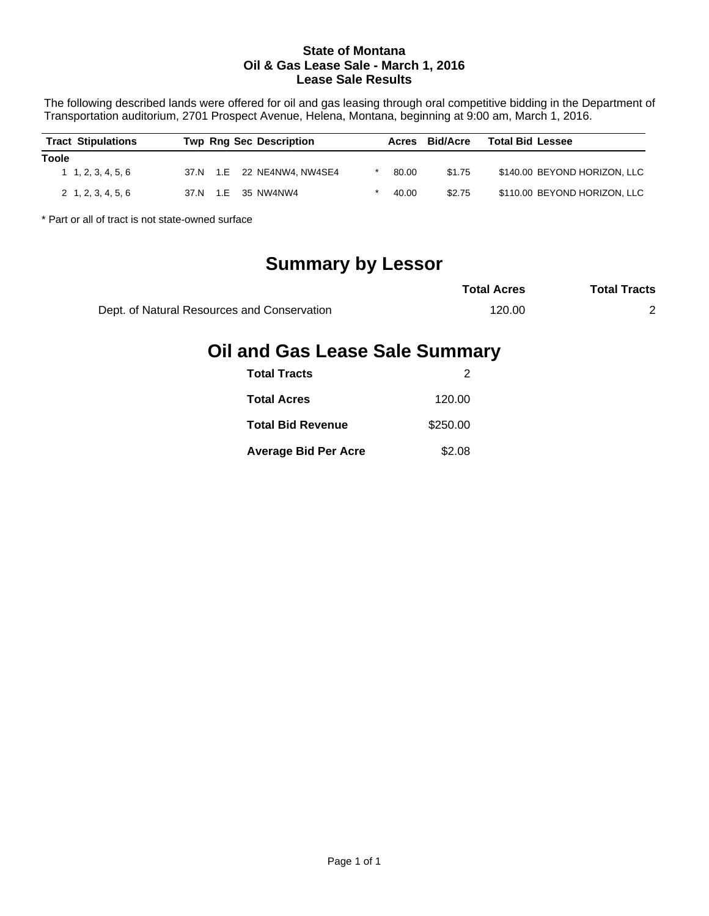#### **State of Montana Oil & Gas Lease Sale - March 1, 2016 Lease Sale Results**

The following described lands were offered for oil and gas leasing through oral competitive bidding in the Department of Transportation auditorium, 2701 Prospect Avenue, Helena, Montana, beginning at 9:00 am, March 1, 2016.

| <b>Tract Stipulations</b>  | <b>Twp Rng Sec Description</b> | Acres | <b>Bid/Acre</b> | <b>Total Bid Lessee</b>      |
|----------------------------|--------------------------------|-------|-----------------|------------------------------|
| <b>Toole</b>               |                                |       |                 |                              |
| $1 \quad 1, 2, 3, 4, 5, 6$ | 37.N 1.E 22 NE4NW4, NW4SE4     | 80.00 | \$1.75          | \$140.00 BEYOND HORIZON, LLC |
| $2\quad 1, 2, 3, 4, 5, 6$  | 37.N 1.E 35 NW4NW4             | 40.00 | \$2.75          | \$110.00 BEYOND HORIZON, LLC |

\* Part or all of tract is not state-owned surface

# **Summary by Lessor**

|                                             | <b>Total Acres</b> | <b>Total Tracts</b> |
|---------------------------------------------|--------------------|---------------------|
| Dept. of Natural Resources and Conservation | 120.00             |                     |

## **Oil and Gas Lease Sale Summary**

| <b>Total Tracts</b>         |          |
|-----------------------------|----------|
| <b>Total Acres</b>          | 120.00   |
| <b>Total Bid Revenue</b>    | \$250.00 |
| <b>Average Bid Per Acre</b> | \$2.08   |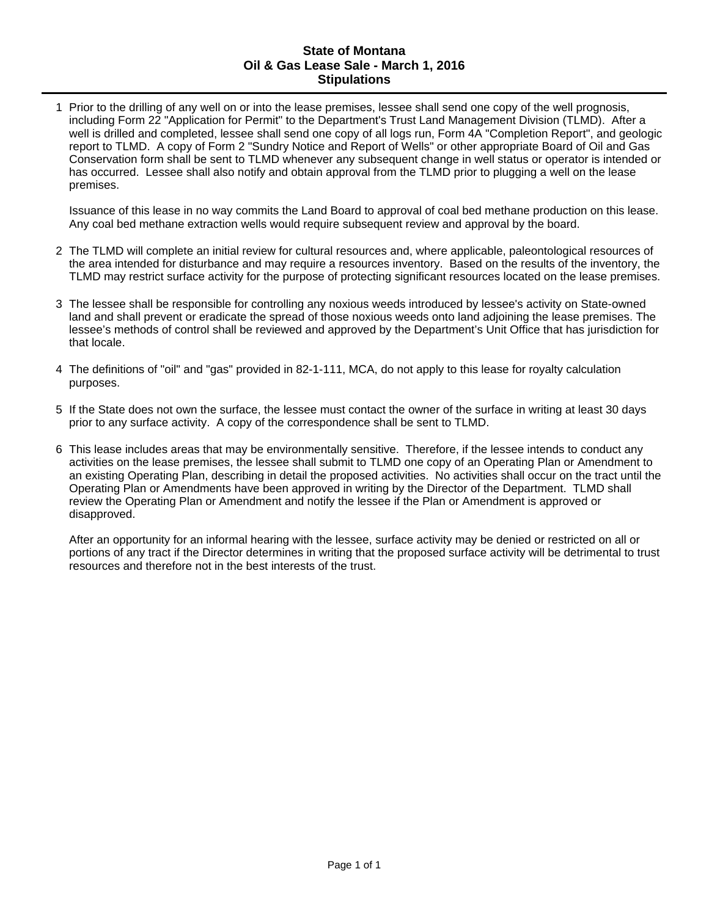#### **State of Montana Oil & Gas Lease Sale - March 1, 2016 Stipulations**

1 Prior to the drilling of any well on or into the lease premises, lessee shall send one copy of the well prognosis, including Form 22 "Application for Permit" to the Department's Trust Land Management Division (TLMD). After a well is drilled and completed, lessee shall send one copy of all logs run, Form 4A "Completion Report", and geologic report to TLMD. A copy of Form 2 "Sundry Notice and Report of Wells" or other appropriate Board of Oil and Gas Conservation form shall be sent to TLMD whenever any subsequent change in well status or operator is intended or has occurred. Lessee shall also notify and obtain approval from the TLMD prior to plugging a well on the lease premises.

Issuance of this lease in no way commits the Land Board to approval of coal bed methane production on this lease. Any coal bed methane extraction wells would require subsequent review and approval by the board.

- 2 The TLMD will complete an initial review for cultural resources and, where applicable, paleontological resources of the area intended for disturbance and may require a resources inventory. Based on the results of the inventory, the TLMD may restrict surface activity for the purpose of protecting significant resources located on the lease premises.
- 3 The lessee shall be responsible for controlling any noxious weeds introduced by lessee's activity on State-owned land and shall prevent or eradicate the spread of those noxious weeds onto land adjoining the lease premises. The lessee's methods of control shall be reviewed and approved by the Department's Unit Office that has jurisdiction for that locale.
- 4 The definitions of "oil" and "gas" provided in 82-1-111, MCA, do not apply to this lease for royalty calculation purposes.
- 5 If the State does not own the surface, the lessee must contact the owner of the surface in writing at least 30 days prior to any surface activity. A copy of the correspondence shall be sent to TLMD.
- 6 This lease includes areas that may be environmentally sensitive. Therefore, if the lessee intends to conduct any activities on the lease premises, the lessee shall submit to TLMD one copy of an Operating Plan or Amendment to an existing Operating Plan, describing in detail the proposed activities. No activities shall occur on the tract until the Operating Plan or Amendments have been approved in writing by the Director of the Department. TLMD shall review the Operating Plan or Amendment and notify the lessee if the Plan or Amendment is approved or disapproved.

After an opportunity for an informal hearing with the lessee, surface activity may be denied or restricted on all or portions of any tract if the Director determines in writing that the proposed surface activity will be detrimental to trust resources and therefore not in the best interests of the trust.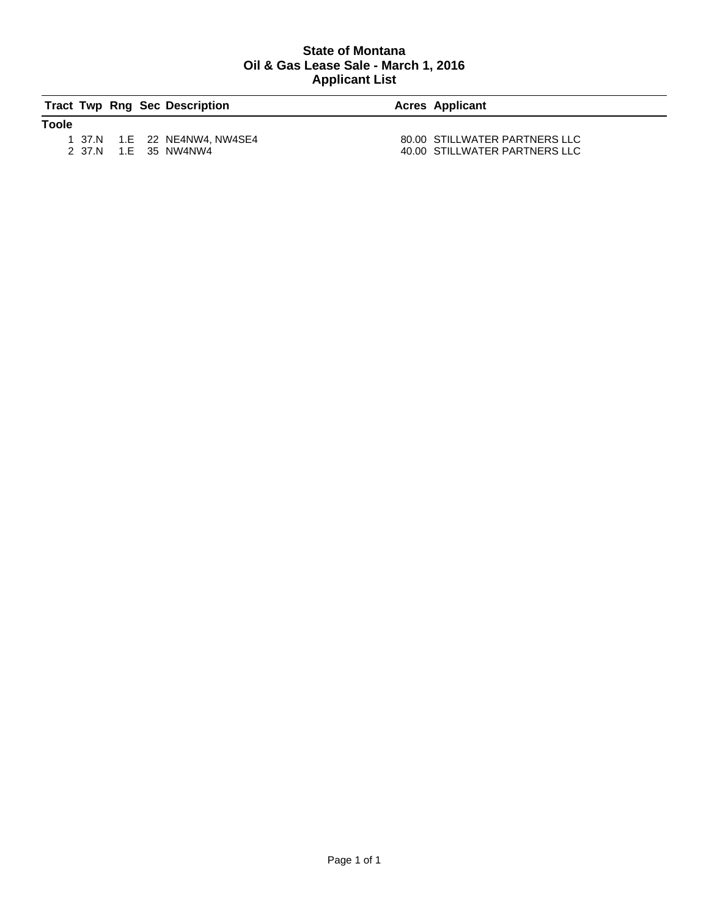#### **State of Montana Oil & Gas Lease Sale - March 1, 2016 Applicant List**

|              |  | <b>Tract Twp Rng Sec Description</b> | <b>Acres Applicant</b>        |
|--------------|--|--------------------------------------|-------------------------------|
| <b>Toole</b> |  |                                      |                               |
|              |  | 1 37.N 1.E 22 NE4NW4, NW4SE4         | 80.00 STILLWATER PARTNERS LLC |
|              |  | 2 37.N 1.E 35 NW4NW4                 | 40.00 STILLWATER PARTNERS LLC |